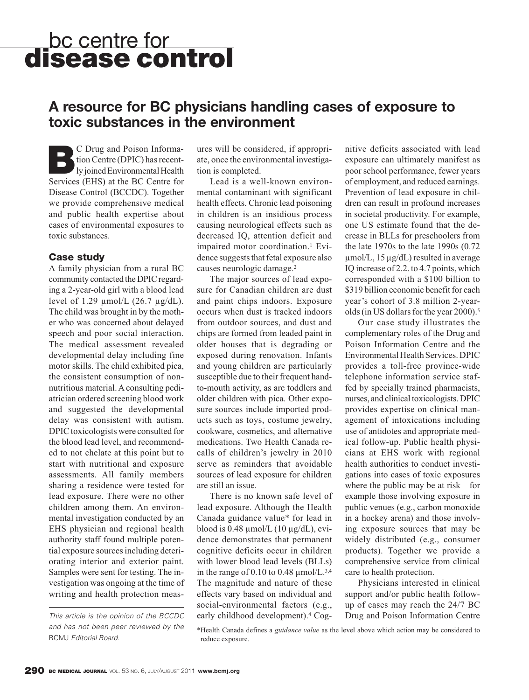# bc centre for **disease control**

### **A resource for BC physicians handling cases of exposure to toxic substances in the environment**

**BC** Drug and Poison Informa-<br>
ly joined Environmental Health<br>
Semina (EUS) at the BC Grates for tion Centre (DPIC) has recent-Services (EHS) at the BC Centre for Disease Control (BCCDC). Together we provide comprehensive medical and public health expertise about cases of environmental exposures to toxic substances.

### **Case study**

A family physician from a rural BC community contacted the DPIC regarding a 2-year-old girl with a blood lead level of 1.29  $\mu$ mol/L (26.7  $\mu$ g/dL). The child was brought in by the mother who was concerned about delayed speech and poor social interaction. The medical assessment revealed developmental delay including fine motor skills. The child exhibited pica, the consistent consumption of nonnutritious material. A consulting pediatrician ordered screening blood work and suggested the developmental delay was consistent with autism. DPIC toxicologists were consulted for the blood lead level, and recommended to not chelate at this point but to start with nutritional and exposure assessments. All family members sharing a residence were tested for lead exposure. There were no other children among them. An environmental investigation conducted by an EHS physician and regional health authority staff found multiple potential exposure sources including deteriorating interior and exterior paint. Samples were sent for testing. The investigation was ongoing at the time of writing and health protection meas-

and has not been peer reviewed by the BCMJ Editorial Board.

ures will be considered, if appropriate, once the environmental investigation is completed.

Lead is a well-known environmental contaminant with significant health effects. Chronic lead poisoning in children is an insidious process causing neurological effects such as decreased IQ, attention deficit and impaired motor coordination.<sup>1</sup> Evidence suggests that fetal exposure also causes neurologic damage.2

The major sources of lead exposure for Canadian children are dust and paint chips indoors. Exposure occurs when dust is tracked indoors from outdoor sources, and dust and chips are formed from leaded paint in older houses that is degrading or exposed during renovation. Infants and young children are particularly susceptible due to their frequent handto-mouth activity, as are toddlers and older children with pica. Other exposure sources include imported products such as toys, costume jewelry, cookware, cosmetics, and alternative medications. Two Health Canada recalls of children's jewelry in 2010 serve as reminders that avoidable sources of lead exposure for children are still an issue.

There is no known safe level of lead exposure. Although the Health Canada guidance value\* for lead in blood is  $0.48 \mu$ mol/L  $(10 \mu g/dL)$ , evidence demonstrates that permanent cognitive deficits occur in children with lower blood lead levels (BLLs) in the range of 0.10 to 0.48  $\mu$ mol/L.<sup>3,4</sup> The magnitude and nature of these effects vary based on individual and social-environmental factors (e.g., This article is the opinion of the BCCDC early childhood development).<sup>4</sup> Cog- Drug and Poison Information Centre

nitive deficits associated with lead exposure can ultimately manifest as poor school performance, fewer years of employment, and reduced earnings. Prevention of lead exposure in children can result in profound increases in societal productivity. For example, one US estimate found that the decrease in BLLs for preschoolers from the late 1970s to the late 1990s (0.72 µmol/L, 15 µg/dL) resulted in average IQ increase of 2.2. to 4.7 points, which corresponded with a \$100 billion to \$319 billion economic benefit for each year's cohort of 3.8 million 2-yearolds (in US dollars for the year 2000).<sup>5</sup>

Our case study illustrates the complementary roles of the Drug and Poison Information Centre and the Environmental Health Services. DPIC provides a toll-free province-wide telephone information service staffed by specially trained pharmacists, nurses, and clinical toxicologists. DPIC provides expertise on clinical management of intoxications including use of antidotes and appropriate medical follow-up. Public health physicians at EHS work with regional health authorities to conduct investigations into cases of toxic exposures where the public may be at risk—for example those involving exposure in public venues (e.g., carbon monoxide in a hockey arena) and those involving exposure sources that may be widely distributed (e.g., consumer products). Together we provide a comprehensive service from clinical care to health protection.

Physicians interested in clinical support and/or public health followup of cases may reach the 24/7 BC

<sup>\*</sup>Health Canada defines a *guidance value* as the level above which action may be considered to reduce exposure.